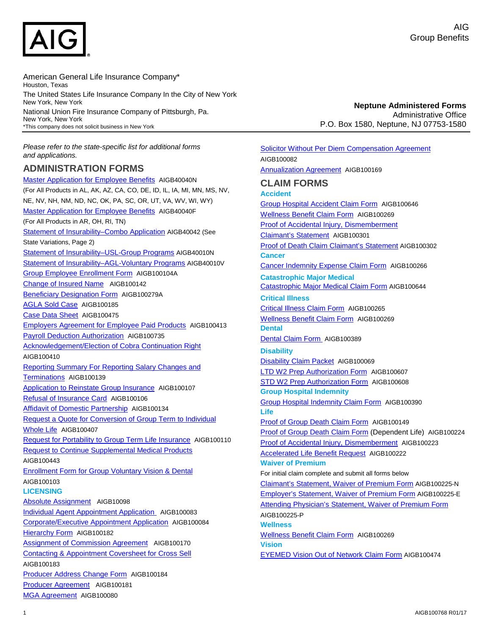

American General Life Insurance Company\* Houston, Texas The United States Life Insurance Company In the City of New York New York, New York National Union Fire Insurance Company of Pittsburgh, Pa. New York, New York \*This company does not solicit business in New York

*Please refer to the state-specific list for additional forms and applications.*

## **ADMINISTRATION FORMS**

[Master Application for Employee Benefits](https://custompoint.rrd.com/customerfiles/AIG/images/AIGB40040N.pdf?a=-163590192) AIGB40040N (For All Products in AL, AK, AZ, CA, CO, DE, ID, IL, IA, MI, MN, MS, NV, NE, NV, NH, NM, ND, NC, OK, PA, SC, OR, UT, VA, WV, WI, WY) [Master Application for Employee Benefits](https://custompoint.rrd.com/customerfiles/AIG/images/AIGB40040FN.pdf?a=1562178229) AIGB40040F (For All Products in AR, OH, RI, TN) [Statement of Insurability–Combo Application](https://custompoint.rrd.com/customerfiles/AIG/images/AIGB40042N.pdf?a=1272993084) AIGB40042 (See State Variations, Page 2) [Statement of Insurability–USL-Group Programs](https://custompoint.rrd.com/customerfiles/AIG/images/AIGB40010N.pdf?a=-1464177222) AIGB40010N [Statement of Insurability–AGL-Voluntary Programs](https://custompoint.rrd.com/customerfiles/AIG/edocs/AIGB40010V.pdf?a=716136412) AIGB40010V [Group Employee Enrollment Form](https://custompoint.rrd.com/customerfiles/AIG/edocs/AIGB100104A.pdf) AIGB100104A [Change of Insured Name](https://custompoint.rrd.com/customerfiles/AIG/edocs/AIGB100142-F.pdf?a=-621344563) AIGB100142 [Beneficiary Designation Form](https://custompoint.rrd.com/customerfiles/AIG/edocs/AIGB100279-A.pdf?a=1358160849) AIGB100279A [AGLA Sold Case](https://custompoint.rrd.com/customerfiles/AIG/edocs/AIGB100185-AGLA.pdf?a=1260073318d) AIGB100185 [Case Data Sheet](https://custompoint.rrd.com/customerfiles/AIG/edocs/AIGB100475-T.pdf?a=-349138106) AIGB100475 [Employers Agreement for Employee Paid Products](https://custompoint.rrd.com/customerfiles/AIG/edocs/AIGB100413.pdf?a=1406939082) AIGB100413 [Payroll Deduction Authorization](https://custompoint.rrd.com/customerfiles/AIG/edocs/AIGB100735.pdf?a=1128165340) AIGB100735 [Acknowledgement/Election of Cobra Continuation Right](https://custompoint.rrd.com/customerfiles/AIG/edocs/AIGB100410.pdf?a=-1967216238)  AIGB100410 [Reporting Summary For Reporting Salary Changes and](https://custompoint.rrd.com/customerfiles/AIG/edocs/AIGB100139.pdf?a=-1609033880)  [Terminations](https://custompoint.rrd.com/customerfiles/AIG/edocs/AIGB100139.pdf?a=-1609033880) AIGB100139 [Application to Reinstate Group Insurance](https://custompoint.rrd.com/customerfiles/AIG/edocs/AIGB100107.pdf?a=1302185644) AIGB100107 [Refusal of Insurance Card](https://custompoint.rrd.com/customerfiles/AIG/edocs/AIGB100106.pdf?a=-608047133) AIGB100106 [Affidavit of Domestic Partnership](https://custompoint.rrd.com/customerfiles/AIG/edocs/AIGB100134.pdf?a=-1663964506) AIGB100134 [Request a Quote for Conversion of Group Term to Individual](https://custompoint.rrd.com/customerfiles/AIG/edocs/AIGB100407.pdf?a=969650922)  [Whole Life](https://custompoint.rrd.com/customerfiles/AIG/edocs/AIGB100407.pdf?a=969650922) AIGB100407 [Request for Portability to Group Term Life Insurance](https://custompoint.rrd.com/customerfiles/AIG/edocs/AIGB100110.pdf?a=-1052519059) AIGB100110 [Request to Continue Supplemental Medical Products](https://custompoint.rrd.com/customerfiles/AIG/edocs/AIGB100443-F.pdf?a=-753579995)  AIGB100443 [Enrollment Form for Group Voluntary Vision & Dental](https://custompoint.rrd.com/customerfiles/AIG/edocs/AIGB100103.pdf?a=-1214209380)  AIGB100103 **LICENSING** [Absolute Assignment](https://custompoint.rrd.com/customerfiles/AIG/edocs/AIGB100098-T.pdf?a=-443766584) AIGB10098 [Individual Agent Appointment Application](https://custompoint.rrd.com/customerfiles/AIG/edocs/AIGB100083.pdf?a=1820179787) AIGB100083 Corporate/Executive [Appointment Application](https://custompoint.rrd.com/customerfiles/AIG/edocs/AIGB100084.pdf?a=-2003051696) AIGB100084 **[Hierarchy Form](https://custompoint.rrd.com/customerfiles/AIG/edocs/AIGB100182-F.pdf?a=1634105884) AIGB100182** [Assignment of Commission Agreement](https://custompoint.rrd.com/customerfiles/AIG/images/AIGB100170.pdf?a=-1990409634) AIGB100170 [Contacting & Appointment Coversheet for Cross Sell](https://custompoint.rrd.com/customerfiles/AIG/edocs/AIGB100183-F.pdf?a=-1620273429)  AIGB100183 [Producer Address Change Form](https://custompoint.rrd.com/customerfiles/AIG/edocs/AIGB100184-F.pdf?a=-1574516757) AIGB100184 [Producer Agreement](https://custompoint.rrd.com/customerfiles/AIG/images/AIGB100081.pdf?a=1962132621) AIGB100181 [MGA Agreement](https://custompoint.rrd.com/customerfiles/AIG/images/AIGB100080.pdf?a=1002660532) AIGB100080

**Neptune Administered Forms** Administrative Office P.O. Box 1580, Neptune, NJ 07753-1580

[Solicitor Without Per Diem Compensation Agreement](https://custompoint.rrd.com/customerfiles/AIG/images/AIGB100082.pdf?a=-1058159133)  AIGB100082 [Annualization Agreement](https://custompoint.rrd.com/customerfiles/AIG/images/AIGB100169.pdf?a=-289284967) AIGB100169 **CLAIM FORMS Accident** [Group Hospital Accident Claim Form](https://custompoint.rrd.com/customerfiles/AIG/edocs/AIGB100646.pdf?a=116197673) AIGB100646 [Wellness Benefit Claim Form](https://custompoint.rrd.com/customerfiles/AIG/edocs/AIGB100269-N%20F.pdf?a=-1355121822) AIGB100269 [Proof of Accidental Injury, Dismemberment](https://custompoint.rrd.com/customerfiles/AIG/images/AIGB100301F.pdf) [Claimant's Statement](https://custompoint.rrd.com/customerfiles/AIG/images/AIGB100301F.pdf) AIGB100301 [Proof of Death Claim Claimant's Statement](https://custompoint.rrd.com/customerfiles/AIG/images/AIGB100302F.pdf?a=960551578) AIGB100302 **Cancer** [Cancer Indemnity Expense Claim Form](https://custompoint.rrd.com/customerfiles/AIG/images/AIGB100266N.pdf?a=1108317720) AIGB100266 **Catastrophic Major Medical** [Catastrophic Major Medical Claim Form](http://custompoint.rrd.com/customerfiles/AIG/images/AIGB100644.pdf?a=1258034121) AIGB100644 **Critical Illness** [Critical Illness Claim Form](https://custompoint.rrd.com/customerfiles/AIG/edocs/AIGB100265N.pdf?a=-736263293) AIGB100265 [Wellness Benefit Claim Form](https://custompoint.rrd.com/customerfiles/AIG/edocs/AIGB100269-N%20F.pdf?a=-1355121822) AIGB100269 **Dental** [Dental Claim Form](https://custompoint.rrd.com/customerfiles/AIG/edocs/AIGB100389.pdf?a=-228044606) AIGB100389 **Disability** [Disability Claim Packet](https://custompoint.rrd.com/customerfiles/AIG/images/AIGB100069.pdf?a=-603639564) AIGB100069 [LTD W2 Prep Authorization Form](https://custompoint.rrd.com/customerfiles/AIG/images/AIGB100607.pdf) AIGB100607 [STD W2 Prep Authorization Form](https://custompoint.rrd.com/customerfiles/AIG/images/AIGB100608.pdf?a=371699102) AIGB100608 **Group Hospital Indemnity** Group Hospital [Indemnity Claim Form](https://custompoint.rrd.com/customerfiles/AIG/edocs/AIGB100390.pdf?a=1650250693) AIGB100390 **Life** [Proof of Group Death Claim Form](https://custompoint.rrd.com/customerfiles/AIG/edocs/AIGB100149.pdf?a=1427818757) AIGB100149 [Proof of Group Death Claim Form](https://custompoint.rrd.com/customerfiles/AIG/edocs/AIGB100224.pdf?a=-447513978) (Dependent Life) AIGB100224 [Proof of Accidental Injury, Dismemberment](https://custompoint.rrd.com/customerfiles/AIG/edocs/AIGB100223.pdf?a=-1284189964) AIGB100223 [Accelerated Life Benefit Request](https://custompoint.rrd.com/customerfiles/AIG/images/AIGB100222.pdf) AIGB100222 **Waiver of Premium** For initial claim complete and submit all forms below [Claimant's Statement, Waiver of Premium Form](https://custompoint.rrd.com/customerfiles/AIG/edocs/AIGB100225-N.pdf?a=-780217503) AIGB100225-N [Employer's Statement, Waiver of Premium Form](https://custompoint.rrd.com/customerfiles/AIG/edocs/AIGB100225-E.pdf?a=-676158853) AIGB100225-E [Attending Physician's Statement, Waiver of Premium Form](https://custompoint.rrd.com/customerfiles/AIG/edocs/AIGB100225-P.pdf?a=83374529) AIGB100225-P **Wellness** [Wellness Benefit Claim Form](https://custompoint.rrd.com/customerfiles/AIG/edocs/AIGB100269-N%20F.pdf?a=-1355121822) AIGB100269 **Vision** [EYEMED Vision Out of Network Claim Form](https://custompoint.rrd.com/customerfiles/AIG/edocs/AIGB100474.pdf?a=-933112080) AIGB100474